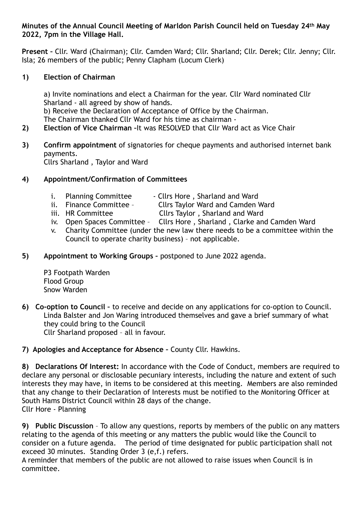### **Minutes of the Annual Council Meeting of Marldon Parish Council held on Tuesday 24th May 2022, 7pm in the Village Hall.**

**Present –** Cllr. Ward (Chairman); Cllr. Camden Ward; Cllr. Sharland; Cllr. Derek; Cllr. Jenny; Cllr. Isla; 26 members of the public; Penny Clapham (Locum Clerk)

## **1) Election of Chairman**

 a) Invite nominations and elect a Chairman for the year. Cllr Ward nominated Cllr Sharland - all agreed by show of hands. b) Receive the Declaration of Acceptance of Office by the Chairman. The Chairman thanked Cllr Ward for his time as chairman -

- **2) Election of Vice Chairman –**It was RESOLVED that Cllr Ward act as Vice Chair
- **3) Confirm appointment** of signatories for cheque payments and authorised internet bank payments. Cllrs Sharland , Taylor and Ward

## **4) Appointment/Confirmation of Committees**

- i. Planning Committee Cllrs Hore, Sharland and Ward ii. Finance Committee Cllrs Tavlor Ward and Camden \
	- Finance Committee Cllrs Taylor Ward and Camden Ward
- iii. HR Committee Cllrs Taylor, Sharland and Ward
- iv. Open Spaces Committee Cllrs Hore, Sharland, Clarke and Camden Ward
- v. Charity Committee (under the new law there needs to be a committee within the Council to operate charity business) – not applicable.
- **5) Appointment to Working Groups** postponed to June 2022 agenda.

P3 Footpath Warden Flood Group Snow Warden

**6) Co-option to Council –** to receive and decide on any applications for co-option to Council. Linda Balster and Jon Waring introduced themselves and gave a brief summary of what they could bring to the Council Cllr Sharland proposed – all in favour.

# **7) Apologies and Acceptance for Absence –** County Cllr. Hawkins.

**8) Declarations Of Interest:** In accordance with the Code of Conduct, members are required to declare any personal or disclosable pecuniary interests, including the nature and extent of such interests they may have, in items to be considered at this meeting. Members are also reminded that any change to their Declaration of Interests must be notified to the Monitoring Officer at South Hams District Council within 28 days of the change. Cllr Hore - Planning

**9) Public Discussion** – To allow any questions, reports by members of the public on any matters relating to the agenda of this meeting or any matters the public would like the Council to consider on a future agenda. The period of time designated for public participation shall not exceed 30 minutes. Standing Order 3 (e,f.) refers.

A reminder that members of the public are not allowed to raise issues when Council is in committee.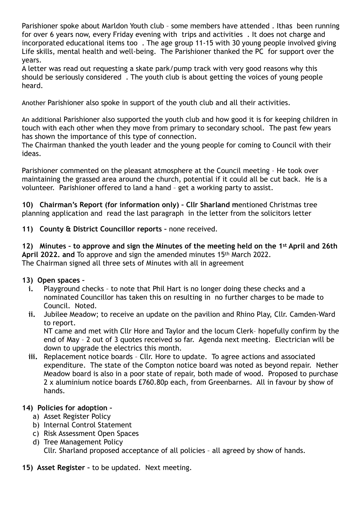Parishioner spoke about Marldon Youth club – some members have attended . Ithas been running for over 6 years now, every Friday evening with trips and activities . It does not charge and incorporated educational items too . The age group 11-15 with 30 young people involved giving Life skills, mental health and well-being. The Parishioner thanked the PC for support over the years.

A letter was read out requesting a skate park/pump track with very good reasons why this should be seriously considered . The youth club is about getting the voices of young people heard.

Another Parishioner also spoke in support of the youth club and all their activities.

An additional Parishioner also supported the youth club and how good it is for keeping children in touch with each other when they move from primary to secondary school. The past few years has shown the importance of this type of connection.

The Chairman thanked the youth leader and the young people for coming to Council with their ideas.

Parishioner commented on the pleasant atmosphere at the Council meeting – He took over maintaining the grassed area around the church, potential if it could all be cut back. He is a volunteer. Parishioner offered to land a hand – get a working party to assist.

**10) Chairman's Report (for information only) – Cllr Sharland m**entioned Christmas tree planning application and read the last paragraph in the letter from the solicitors letter

**11) County & District Councillor reports –** none received.

**12) Minutes – to approve and sign the Minutes of the meeting held on the 1st April and 26th April 2022. and** To approve and sign the amended minutes 15th March 2022. The Chairman signed all three sets of Minutes with all in agreement

## **13) Open spaces –**

- **i.** Playground checks to note that Phil Hart is no longer doing these checks and a nominated Councillor has taken this on resulting in no further charges to be made to Council. Noted.
- **ii.** Jubilee Meadow; to receive an update on the pavilion and Rhino Play, Cllr. Camden-Ward to report.

NT came and met with Cllr Hore and Taylor and the locum Clerk– hopefully confirm by the end of May – 2 out of 3 quotes received so far. Agenda next meeting. Electrician will be down to upgrade the electrics this month.

**iii.** Replacement notice boards – Cllr. Hore to update. To agree actions and associated expenditure. The state of the Compton notice board was noted as beyond repair. Nether Meadow board is also in a poor state of repair, both made of wood. Proposed to purchase 2 x aluminium notice boards £760.80p each, from Greenbarnes. All in favour by show of hands.

# **14) Policies for adoption –**

- a) Asset Register Policy
- b) Internal Control Statement
- c) Risk Assessment Open Spaces
- d) Tree Management Policy Cllr. Sharland proposed acceptance of all policies – all agreed by show of hands.
- **15) Asset Register** to be updated. Next meeting.